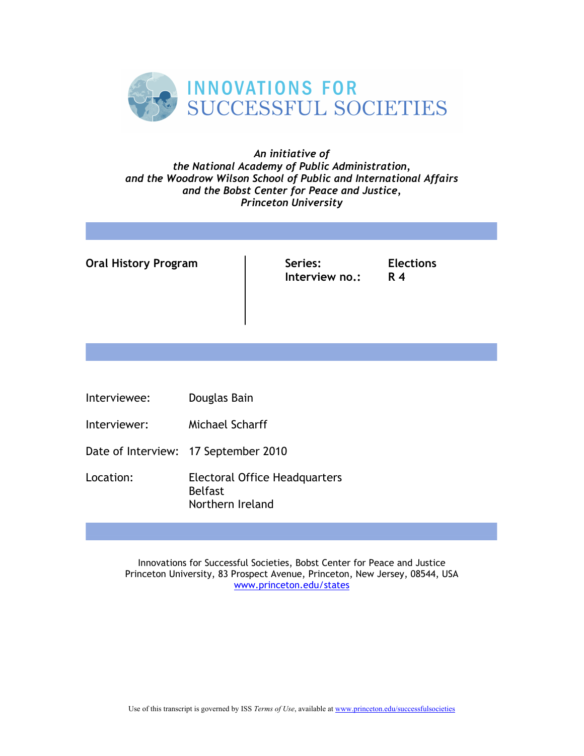

## *An initiative of the National Academy of Public Administration, and the Woodrow Wilson School of Public and International Affairs and the Bobst Center for Peace and Justice, Princeton University*

**Oral History Program**  $\vert$  Series: Elections

**Interview no.: R 4**

- Interviewee: Douglas Bain
- Interviewer: Michael Scharff
- Date of Interview: 17 September 2010
- Location: Electoral Office Headquarters Belfast Northern Ireland

Innovations for Successful Societies, Bobst Center for Peace and Justice Princeton University, 83 Prospect Avenue, Princeton, New Jersey, 08544, USA www.princeton.edu/states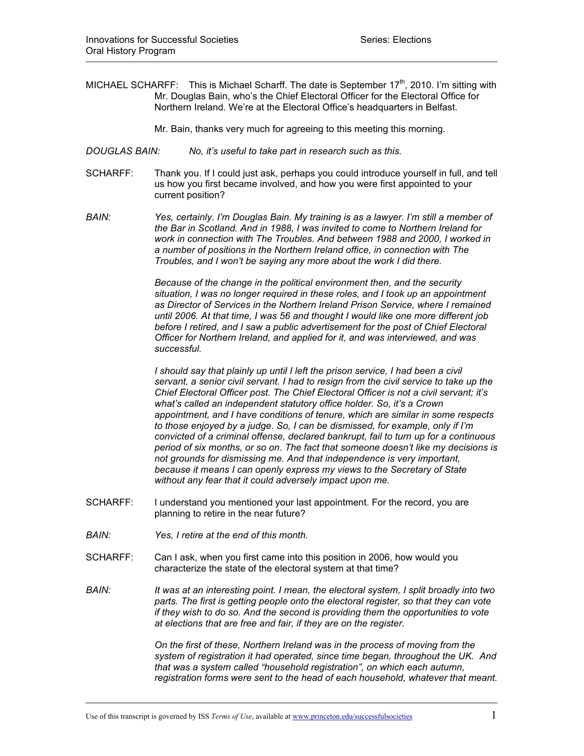- MICHAEL SCHARFF: This is Michael Scharff. The date is September  $17<sup>th</sup>$ , 2010. I'm sitting with Mr. Douglas Bain, who's the Chief Electoral Officer for the Electoral Office for Northern Ireland. We're at the Electoral Office's headquarters in Belfast.
	- Mr. Bain, thanks very much for agreeing to this meeting this morning.
- *DOUGLAS BAIN: No, it's useful to take part in research such as this.*
- SCHARFF: Thank you. If I could just ask, perhaps you could introduce yourself in full, and tell us how you first became involved, and how you were first appointed to your current position?
- *BAIN: Yes, certainly. I'm Douglas Bain. My training is as a lawyer. I'm still a member of the Bar in Scotland. And in 1988, I was invited to come to Northern Ireland for work in connection with The Troubles. And between 1988 and 2000, I worked in a number of positions in the Northern Ireland office, in connection with The Troubles, and I won't be saying any more about the work I did there.*

*Because of the change in the political environment then, and the security situation, I was no longer required in these roles, and I took up an appointment as Director of Services in the Northern Ireland Prison Service, where I remained until 2006. At that time, I was 56 and thought I would like one more different job before I retired, and I saw a public advertisement for the post of Chief Electoral Officer for Northern Ireland, and applied for it, and was interviewed, and was successful.* 

*I should say that plainly up until I left the prison service, I had been a civil servant, a senior civil servant. I had to resign from the civil service to take up the Chief Electoral Officer post. The Chief Electoral Officer is not a civil servant; it's what's called an independent statutory office holder. So, it's a Crown appointment, and I have conditions of tenure, which are similar in some respects to those enjoyed by a judge. So, I can be dismissed, for example, only if I'm convicted of a criminal offense, declared bankrupt, fail to turn up for a continuous period of six months, or so on. The fact that someone doesn't like my decisions is not grounds for dismissing me. And that independence is very important, because it means I can openly express my views to the Secretary of State without any fear that it could adversely impact upon me.*

- SCHARFF: I understand you mentioned your last appointment. For the record, you are planning to retire in the near future?
- *BAIN: Yes, I retire at the end of this month.*
- SCHARFF: Can I ask, when you first came into this position in 2006, how would you characterize the state of the electoral system at that time?
- *BAIN: It was at an interesting point. I mean, the electoral system, I split broadly into two parts. The first is getting people onto the electoral register, so that they can vote if they wish to do so. And the second is providing them the opportunities to vote at elections that are free and fair, if they are on the register.*

*On the first of these, Northern Ireland was in the process of moving from the system of registration it had operated, since time began, throughout the UK. And that was a system called "household registration", on which each autumn, registration forms were sent to the head of each household, whatever that meant.*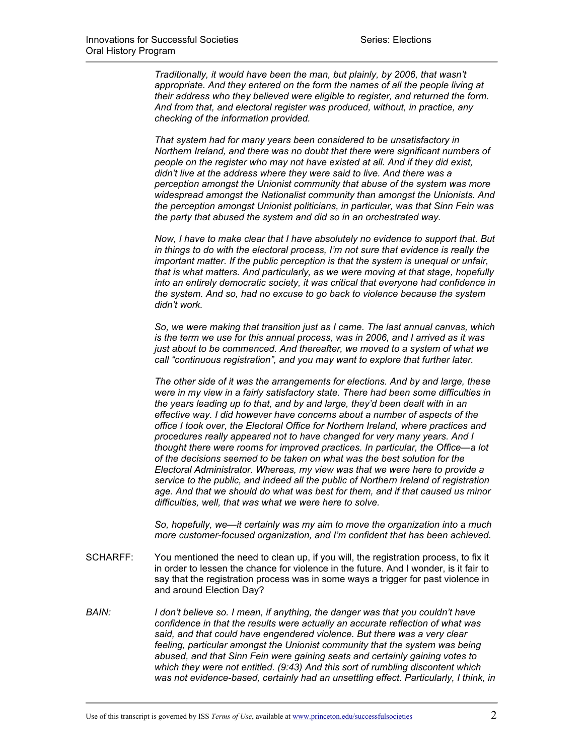*Traditionally, it would have been the man, but plainly, by 2006, that wasn't appropriate. And they entered on the form the names of all the people living at their address who they believed were eligible to register, and returned the form. And from that, and electoral register was produced, without, in practice, any checking of the information provided.* 

*That system had for many years been considered to be unsatisfactory in Northern Ireland, and there was no doubt that there were significant numbers of people on the register who may not have existed at all. And if they did exist, didn't live at the address where they were said to live. And there was a perception amongst the Unionist community that abuse of the system was more widespread amongst the Nationalist community than amongst the Unionists. And the perception amongst Unionist politicians, in particular, was that Sinn Fein was the party that abused the system and did so in an orchestrated way.* 

*Now, I have to make clear that I have absolutely no evidence to support that. But in things to do with the electoral process, I'm not sure that evidence is really the important matter. If the public perception is that the system is unequal or unfair, that is what matters. And particularly, as we were moving at that stage, hopefully into an entirely democratic society, it was critical that everyone had confidence in the system. And so, had no excuse to go back to violence because the system didn't work.* 

*So, we were making that transition just as I came. The last annual canvas, which is the term we use for this annual process, was in 2006, and I arrived as it was just about to be commenced. And thereafter, we moved to a system of what we call "continuous registration", and you may want to explore that further later.* 

*The other side of it was the arrangements for elections. And by and large, these were in my view in a fairly satisfactory state. There had been some difficulties in the years leading up to that, and by and large, they'd been dealt with in an effective way. I did however have concerns about a number of aspects of the office I took over, the Electoral Office for Northern Ireland, where practices and procedures really appeared not to have changed for very many years. And I thought there were rooms for improved practices. In particular, the Office—a lot of the decisions seemed to be taken on what was the best solution for the Electoral Administrator. Whereas, my view was that we were here to provide a service to the public, and indeed all the public of Northern Ireland of registration age. And that we should do what was best for them, and if that caused us minor difficulties, well, that was what we were here to solve.*

*So, hopefully, we—it certainly was my aim to move the organization into a much more customer-focused organization, and I'm confident that has been achieved.* 

- SCHARFF: You mentioned the need to clean up, if you will, the registration process, to fix it in order to lessen the chance for violence in the future. And I wonder, is it fair to say that the registration process was in some ways a trigger for past violence in and around Election Day?
- *BAIN: I don't believe so. I mean, if anything, the danger was that you couldn't have confidence in that the results were actually an accurate reflection of what was said, and that could have engendered violence. But there was a very clear feeling, particular amongst the Unionist community that the system was being abused, and that Sinn Fein were gaining seats and certainly gaining votes to which they were not entitled. (9:43) And this sort of rumbling discontent which was not evidence-based, certainly had an unsettling effect. Particularly, I think, in*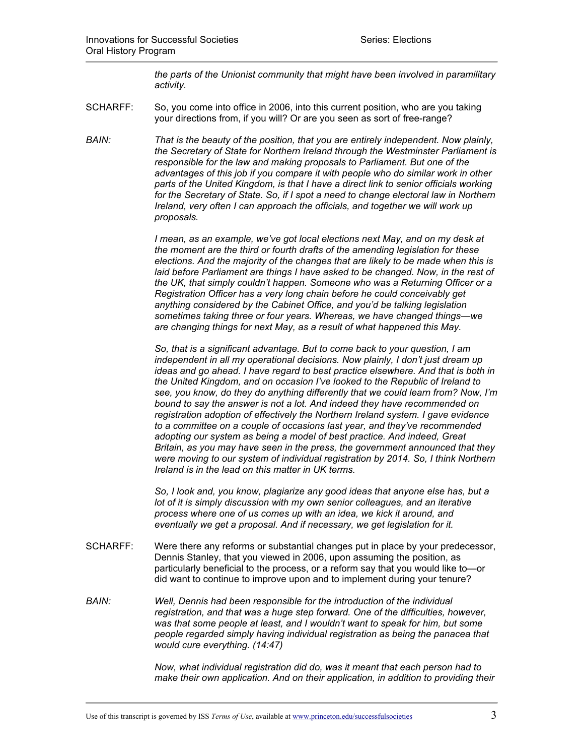*the parts of the Unionist community that might have been involved in paramilitary activity.* 

SCHARFF: So, you come into office in 2006, into this current position, who are you taking your directions from, if you will? Or are you seen as sort of free-range?

*BAIN: That is the beauty of the position, that you are entirely independent. Now plainly, the Secretary of State for Northern Ireland through the Westminster Parliament is responsible for the law and making proposals to Parliament. But one of the advantages of this job if you compare it with people who do similar work in other parts of the United Kingdom, is that I have a direct link to senior officials working for the Secretary of State. So, if I spot a need to change electoral law in Northern Ireland, very often I can approach the officials, and together we will work up proposals.* 

> *I mean, as an example, we've got local elections next May, and on my desk at the moment are the third or fourth drafts of the amending legislation for these elections. And the majority of the changes that are likely to be made when this is laid before Parliament are things I have asked to be changed. Now, in the rest of the UK, that simply couldn't happen. Someone who was a Returning Officer or a Registration Officer has a very long chain before he could conceivably get anything considered by the Cabinet Office, and you'd be talking legislation sometimes taking three or four years. Whereas, we have changed things—we are changing things for next May, as a result of what happened this May.*

> *So, that is a significant advantage. But to come back to your question, I am independent in all my operational decisions. Now plainly, I don't just dream up ideas and go ahead. I have regard to best practice elsewhere. And that is both in the United Kingdom, and on occasion I've looked to the Republic of Ireland to see, you know, do they do anything differently that we could learn from? Now, I'm bound to say the answer is not a lot. And indeed they have recommended on registration adoption of effectively the Northern Ireland system. I gave evidence to a committee on a couple of occasions last year, and they've recommended adopting our system as being a model of best practice. And indeed, Great Britain, as you may have seen in the press, the government announced that they were moving to our system of individual registration by 2014. So, I think Northern Ireland is in the lead on this matter in UK terms.*

*So, I look and, you know, plagiarize any good ideas that anyone else has, but a lot of it is simply discussion with my own senior colleagues, and an iterative process where one of us comes up with an idea, we kick it around, and eventually we get a proposal. And if necessary, we get legislation for it.* 

- SCHARFF: Were there any reforms or substantial changes put in place by your predecessor, Dennis Stanley, that you viewed in 2006, upon assuming the position, as particularly beneficial to the process, or a reform say that you would like to—or did want to continue to improve upon and to implement during your tenure?
- *BAIN: Well, Dennis had been responsible for the introduction of the individual registration, and that was a huge step forward. One of the difficulties, however, was that some people at least, and I wouldn't want to speak for him, but some people regarded simply having individual registration as being the panacea that would cure everything. (14:47)*

*Now, what individual registration did do, was it meant that each person had to make their own application. And on their application, in addition to providing their*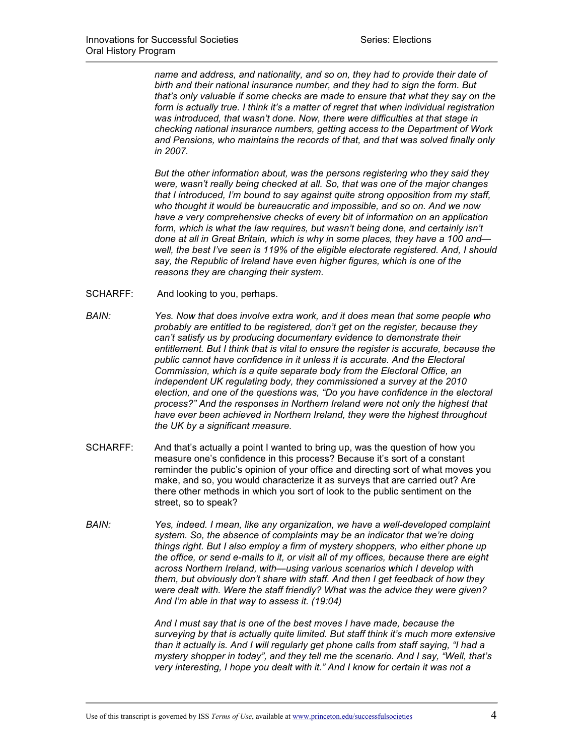*name and address, and nationality, and so on, they had to provide their date of birth and their national insurance number, and they had to sign the form. But that's only valuable if some checks are made to ensure that what they say on the form is actually true. I think it's a matter of regret that when individual registration was introduced, that wasn't done. Now, there were difficulties at that stage in checking national insurance numbers, getting access to the Department of Work and Pensions, who maintains the records of that, and that was solved finally only in 2007.*

*But the other information about, was the persons registering who they said they were, wasn't really being checked at all. So, that was one of the major changes that I introduced, I'm bound to say against quite strong opposition from my staff, who thought it would be bureaucratic and impossible, and so on. And we now have a very comprehensive checks of every bit of information on an application form, which is what the law requires, but wasn't being done, and certainly isn't done at all in Great Britain, which is why in some places, they have a 100 and well, the best I've seen is 119% of the eligible electorate registered. And, I should say, the Republic of Ireland have even higher figures, which is one of the reasons they are changing their system.* 

- SCHARFF: And looking to you, perhaps.
- *BAIN: Yes. Now that does involve extra work, and it does mean that some people who probably are entitled to be registered, don't get on the register, because they can't satisfy us by producing documentary evidence to demonstrate their entitlement. But I think that is vital to ensure the register is accurate, because the public cannot have confidence in it unless it is accurate. And the Electoral Commission, which is a quite separate body from the Electoral Office, an independent UK regulating body, they commissioned a survey at the 2010 election, and one of the questions was, "Do you have confidence in the electoral process?" And the responses in Northern Ireland were not only the highest that have ever been achieved in Northern Ireland, they were the highest throughout the UK by a significant measure.*
- SCHARFF: And that's actually a point I wanted to bring up, was the question of how you measure one's confidence in this process? Because it's sort of a constant reminder the public's opinion of your office and directing sort of what moves you make, and so, you would characterize it as surveys that are carried out? Are there other methods in which you sort of look to the public sentiment on the street, so to speak?
- *BAIN: Yes, indeed. I mean, like any organization, we have a well-developed complaint system. So, the absence of complaints may be an indicator that we're doing things right. But I also employ a firm of mystery shoppers, who either phone up the office, or send e-mails to it, or visit all of my offices, because there are eight across Northern Ireland, with—using various scenarios which I develop with them, but obviously don't share with staff. And then I get feedback of how they were dealt with. Were the staff friendly? What was the advice they were given? And I'm able in that way to assess it. (19:04)*

*And I must say that is one of the best moves I have made, because the surveying by that is actually quite limited. But staff think it's much more extensive than it actually is. And I will regularly get phone calls from staff saying, "I had a mystery shopper in today", and they tell me the scenario. And I say, "Well, that's very interesting, I hope you dealt with it." And I know for certain it was not a*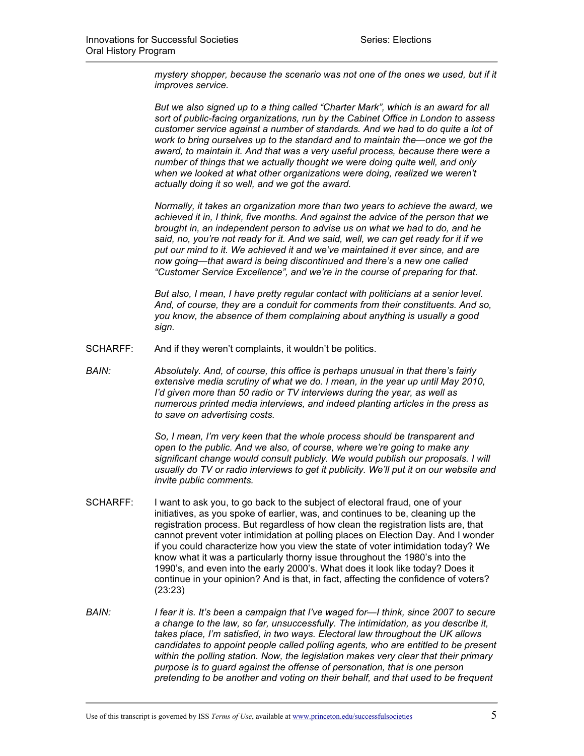*mystery shopper, because the scenario was not one of the ones we used, but if it improves service.*

*But we also signed up to a thing called "Charter Mark", which is an award for all sort of public-facing organizations, run by the Cabinet Office in London to assess customer service against a number of standards. And we had to do quite a lot of work to bring ourselves up to the standard and to maintain the—once we got the award, to maintain it. And that was a very useful process, because there were a number of things that we actually thought we were doing quite well, and only when we looked at what other organizations were doing, realized we weren't actually doing it so well, and we got the award.* 

*Normally, it takes an organization more than two years to achieve the award, we achieved it in, I think, five months. And against the advice of the person that we brought in, an independent person to advise us on what we had to do, and he said, no, you're not ready for it. And we said, well, we can get ready for it if we put our mind to it. We achieved it and we've maintained it ever since, and are now going—that award is being discontinued and there's a new one called "Customer Service Excellence", and we're in the course of preparing for that.*

*But also, I mean, I have pretty regular contact with politicians at a senior level. And, of course, they are a conduit for comments from their constituents. And so, you know, the absence of them complaining about anything is usually a good sign.* 

- SCHARFF: And if they weren't complaints, it wouldn't be politics.
- *BAIN: Absolutely. And, of course, this office is perhaps unusual in that there's fairly extensive media scrutiny of what we do. I mean, in the year up until May 2010, I'd given more than 50 radio or TV interviews during the year, as well as numerous printed media interviews, and indeed planting articles in the press as to save on advertising costs.*

*So, I mean, I'm very keen that the whole process should be transparent and open to the public. And we also, of course, where we're going to make any significant change would consult publicly. We would publish our proposals. I will usually do TV or radio interviews to get it publicity. We'll put it on our website and invite public comments.*

- SCHARFF: I want to ask you, to go back to the subject of electoral fraud, one of your initiatives, as you spoke of earlier, was, and continues to be, cleaning up the registration process. But regardless of how clean the registration lists are, that cannot prevent voter intimidation at polling places on Election Day. And I wonder if you could characterize how you view the state of voter intimidation today? We know what it was a particularly thorny issue throughout the 1980's into the 1990's, and even into the early 2000's. What does it look like today? Does it continue in your opinion? And is that, in fact, affecting the confidence of voters? (23:23)
- *BAIN: I fear it is. It's been a campaign that I've waged for—I think, since 2007 to secure a change to the law, so far, unsuccessfully. The intimidation, as you describe it, takes place, I'm satisfied, in two ways. Electoral law throughout the UK allows candidates to appoint people called polling agents, who are entitled to be present within the polling station. Now, the legislation makes very clear that their primary purpose is to guard against the offense of personation, that is one person pretending to be another and voting on their behalf, and that used to be frequent*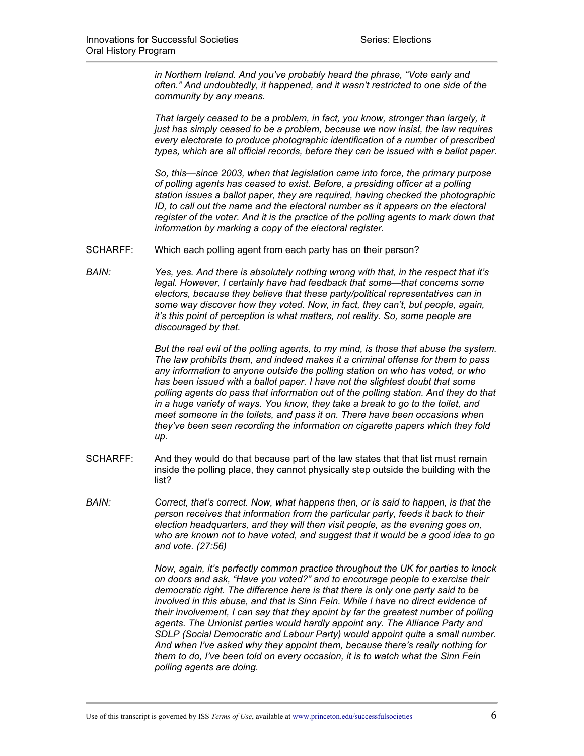*in Northern Ireland. And you've probably heard the phrase, "Vote early and often." And undoubtedly, it happened, and it wasn't restricted to one side of the community by any means.* 

*That largely ceased to be a problem, in fact, you know, stronger than largely, it just has simply ceased to be a problem, because we now insist, the law requires every electorate to produce photographic identification of a number of prescribed types, which are all official records, before they can be issued with a ballot paper.* 

*So, this—since 2003, when that legislation came into force, the primary purpose of polling agents has ceased to exist. Before, a presiding officer at a polling station issues a ballot paper, they are required, having checked the photographic ID, to call out the name and the electoral number as it appears on the electoral register of the voter. And it is the practice of the polling agents to mark down that information by marking a copy of the electoral register.* 

- SCHARFF: Which each polling agent from each party has on their person?
- *BAIN: Yes, yes. And there is absolutely nothing wrong with that, in the respect that it's legal. However, I certainly have had feedback that some—that concerns some electors, because they believe that these party/political representatives can in some way discover how they voted. Now, in fact, they can't, but people, again, it's this point of perception is what matters, not reality. So, some people are discouraged by that.*

*But the real evil of the polling agents, to my mind, is those that abuse the system. The law prohibits them, and indeed makes it a criminal offense for them to pass any information to anyone outside the polling station on who has voted, or who has been issued with a ballot paper. I have not the slightest doubt that some polling agents do pass that information out of the polling station. And they do that in a huge variety of ways. You know, they take a break to go to the toilet, and meet someone in the toilets, and pass it on. There have been occasions when they've been seen recording the information on cigarette papers which they fold up.*

- SCHARFF: And they would do that because part of the law states that that list must remain inside the polling place, they cannot physically step outside the building with the list?
- *BAIN: Correct, that's correct. Now, what happens then, or is said to happen, is that the person receives that information from the particular party, feeds it back to their election headquarters, and they will then visit people, as the evening goes on, who are known not to have voted, and suggest that it would be a good idea to go and vote. (27:56)*

*Now, again, it's perfectly common practice throughout the UK for parties to knock on doors and ask, "Have you voted?" and to encourage people to exercise their democratic right. The difference here is that there is only one party said to be involved in this abuse, and that is Sinn Fein. While I have no direct evidence of their involvement, I can say that they apoint by far the greatest number of polling agents. The Unionist parties would hardly appoint any. The Alliance Party and SDLP (Social Democratic and Labour Party) would appoint quite a small number. And when I've asked why they appoint them, because there's really nothing for them to do, I've been told on every occasion, it is to watch what the Sinn Fein polling agents are doing.*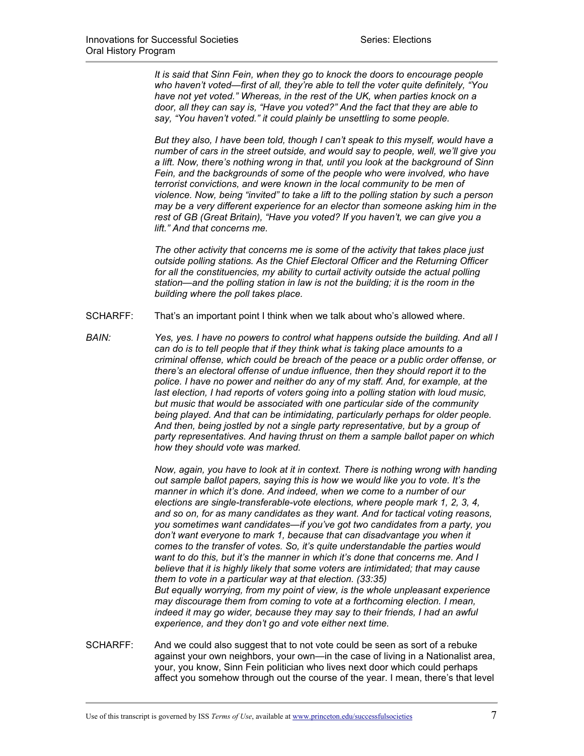*It is said that Sinn Fein, when they go to knock the doors to encourage people who haven't voted—first of all, they're able to tell the voter quite definitely, "You have not yet voted." Whereas, in the rest of the UK, when parties knock on a door, all they can say is, "Have you voted?" And the fact that they are able to say, "You haven't voted." it could plainly be unsettling to some people.* 

*But they also, I have been told, though I can't speak to this myself, would have a number of cars in the street outside, and would say to people, well, we'll give you a lift. Now, there's nothing wrong in that, until you look at the background of Sinn Fein, and the backgrounds of some of the people who were involved, who have terrorist convictions, and were known in the local community to be men of violence. Now, being "invited" to take a lift to the polling station by such a person may be a very different experience for an elector than someone asking him in the rest of GB (Great Britain), "Have you voted? If you haven't, we can give you a lift." And that concerns me.*

*The other activity that concerns me is some of the activity that takes place just outside polling stations. As the Chief Electoral Officer and the Returning Officer for all the constituencies, my ability to curtail activity outside the actual polling station—and the polling station in law is not the building; it is the room in the building where the poll takes place.*

- SCHARFF: That's an important point I think when we talk about who's allowed where.
- *BAIN: Yes, yes. I have no powers to control what happens outside the building. And all I can do is to tell people that if they think what is taking place amounts to a criminal offense, which could be breach of the peace or a public order offense, or there's an electoral offense of undue influence, then they should report it to the police. I have no power and neither do any of my staff. And, for example, at the last election, I had reports of voters going into a polling station with loud music, but music that would be associated with one particular side of the community being played. And that can be intimidating, particularly perhaps for older people. And then, being jostled by not a single party representative, but by a group of party representatives. And having thrust on them a sample ballot paper on which how they should vote was marked.*

*Now, again, you have to look at it in context. There is nothing wrong with handing out sample ballot papers, saying this is how we would like you to vote. It's the manner in which it's done. And indeed, when we come to a number of our elections are single-transferable-vote elections, where people mark 1, 2, 3, 4, and so on, for as many candidates as they want. And for tactical voting reasons, you sometimes want candidates—if you've got two candidates from a party, you*  don't want everyone to mark 1, because that can disadvantage you when it *comes to the transfer of votes. So, it's quite understandable the parties would want to do this, but it's the manner in which it's done that concerns me. And I believe that it is highly likely that some voters are intimidated; that may cause them to vote in a particular way at that election. (33:35) But equally worrying, from my point of view, is the whole unpleasant experience may discourage them from coming to vote at a forthcoming election. I mean, indeed it may go wider, because they may say to their friends, I had an awful experience, and they don't go and vote either next time.*

SCHARFF: And we could also suggest that to not vote could be seen as sort of a rebuke against your own neighbors, your own—in the case of living in a Nationalist area, your, you know, Sinn Fein politician who lives next door which could perhaps affect you somehow through out the course of the year. I mean, there's that level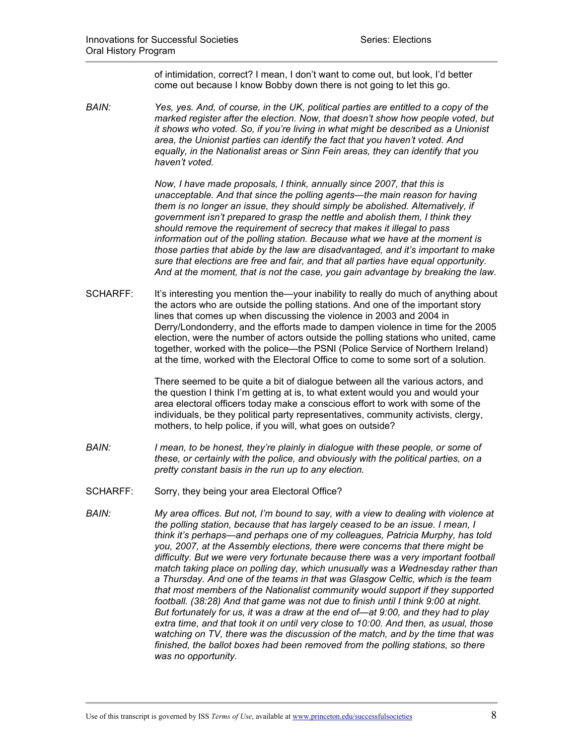of intimidation, correct? I mean, I don't want to come out, but look, I'd better come out because I know Bobby down there is not going to let this go.

*BAIN: Yes, yes. And, of course, in the UK, political parties are entitled to a copy of the marked register after the election. Now, that doesn't show how people voted, but it shows who voted. So, if you're living in what might be described as a Unionist area, the Unionist parties can identify the fact that you haven't voted. And equally, in the Nationalist areas or Sinn Fein areas, they can identify that you haven't voted.* 

> *Now, I have made proposals, I think, annually since 2007, that this is unacceptable. And that since the polling agents—the main reason for having them is no longer an issue, they should simply be abolished. Alternatively, if government isn't prepared to grasp the nettle and abolish them, I think they should remove the requirement of secrecy that makes it illegal to pass information out of the polling station. Because what we have at the moment is those parties that abide by the law are disadvantaged, and it's important to make sure that elections are free and fair, and that all parties have equal opportunity. And at the moment, that is not the case, you gain advantage by breaking the law.*

SCHARFF: It's interesting you mention the—your inability to really do much of anything about the actors who are outside the polling stations. And one of the important story lines that comes up when discussing the violence in 2003 and 2004 in Derry/Londonderry, and the efforts made to dampen violence in time for the 2005 election, were the number of actors outside the polling stations who united, came together, worked with the police—the PSNI (Police Service of Northern Ireland) at the time, worked with the Electoral Office to come to some sort of a solution.

> There seemed to be quite a bit of dialogue between all the various actors, and the question I think I'm getting at is, to what extent would you and would your area electoral officers today make a conscious effort to work with some of the individuals, be they political party representatives, community activists, clergy, mothers, to help police, if you will, what goes on outside?

- *BAIN: I mean, to be honest, they're plainly in dialogue with these people, or some of these, or certainly with the police, and obviously with the political parties, on a pretty constant basis in the run up to any election.*
- SCHARFF: Sorry, they being your area Electoral Office?
- *BAIN: My area offices. But not, I'm bound to say, with a view to dealing with violence at the polling station, because that has largely ceased to be an issue. I mean, I think it's perhaps—and perhaps one of my colleagues, Patricia Murphy, has told you, 2007, at the Assembly elections, there were concerns that there might be difficulty. But we were very fortunate because there was a very important football match taking place on polling day, which unusually was a Wednesday rather than a Thursday. And one of the teams in that was Glasgow Celtic, which is the team that most members of the Nationalist community would support if they supported football. (38:28) And that game was not due to finish until I think 9:00 at night. But fortunately for us, it was a draw at the end of—at 9:00, and they had to play extra time, and that took it on until very close to 10:00. And then, as usual, those watching on TV, there was the discussion of the match, and by the time that was finished, the ballot boxes had been removed from the polling stations, so there was no opportunity.*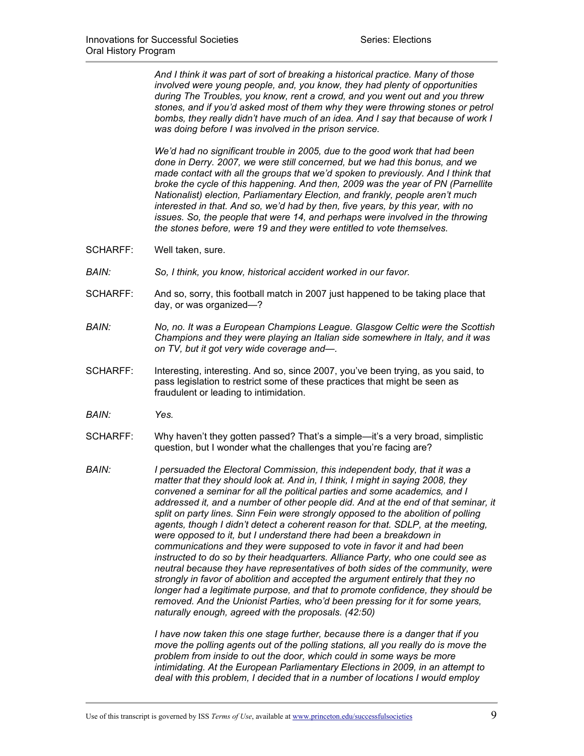*And I think it was part of sort of breaking a historical practice. Many of those involved were young people, and, you know, they had plenty of opportunities during The Troubles, you know, rent a crowd, and you went out and you threw stones, and if you'd asked most of them why they were throwing stones or petrol bombs, they really didn't have much of an idea. And I say that because of work I was doing before I was involved in the prison service.* 

*We'd had no significant trouble in 2005, due to the good work that had been done in Derry. 2007, we were still concerned, but we had this bonus, and we made contact with all the groups that we'd spoken to previously. And I think that broke the cycle of this happening. And then, 2009 was the year of PN (Parnellite Nationalist) election, Parliamentary Election, and frankly, people aren't much interested in that. And so, we'd had by then, five years, by this year, with no issues. So, the people that were 14, and perhaps were involved in the throwing the stones before, were 19 and they were entitled to vote themselves.* 

- SCHARFF: Well taken, sure.
- *BAIN: So, I think, you know, historical accident worked in our favor.*
- SCHARFF: And so, sorry, this football match in 2007 just happened to be taking place that day, or was organized—?
- *BAIN: No, no. It was a European Champions League. Glasgow Celtic were the Scottish Champions and they were playing an Italian side somewhere in Italy, and it was on TV, but it got very wide coverage and—.*
- SCHARFF: Interesting, interesting. And so, since 2007, you've been trying, as you said, to pass legislation to restrict some of these practices that might be seen as fraudulent or leading to intimidation.
- *BAIN: Yes.*
- SCHARFF: Why haven't they gotten passed? That's a simple—it's a very broad, simplistic question, but I wonder what the challenges that you're facing are?
- *BAIN: I persuaded the Electoral Commission, this independent body, that it was a matter that they should look at. And in, I think, I might in saying 2008, they convened a seminar for all the political parties and some academics, and I addressed it, and a number of other people did. And at the end of that seminar, it split on party lines. Sinn Fein were strongly opposed to the abolition of polling agents, though I didn't detect a coherent reason for that. SDLP, at the meeting, were opposed to it, but I understand there had been a breakdown in communications and they were supposed to vote in favor it and had been instructed to do so by their headquarters. Alliance Party, who one could see as neutral because they have representatives of both sides of the community, were strongly in favor of abolition and accepted the argument entirely that they no longer had a legitimate purpose, and that to promote confidence, they should be removed. And the Unionist Parties, who'd been pressing for it for some years, naturally enough, agreed with the proposals. (42:50)*

*I have now taken this one stage further, because there is a danger that if you move the polling agents out of the polling stations, all you really do is move the problem from inside to out the door, which could in some ways be more intimidating. At the European Parliamentary Elections in 2009, in an attempt to deal with this problem, I decided that in a number of locations I would employ*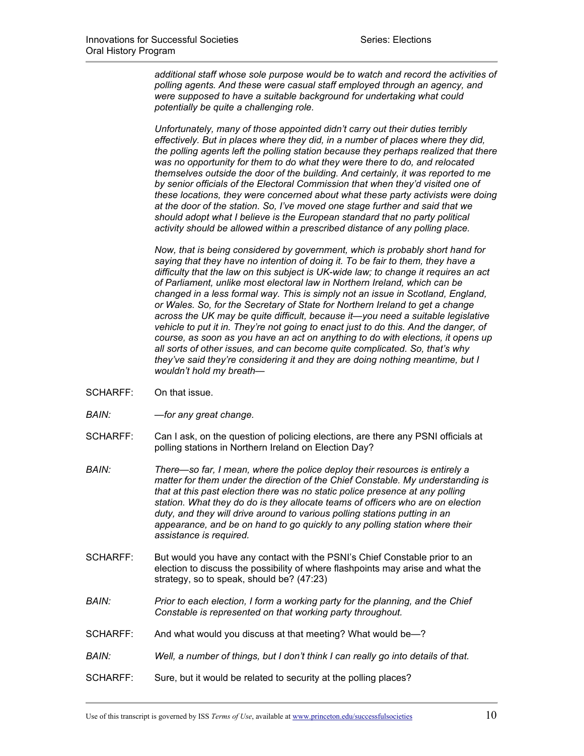*additional staff whose sole purpose would be to watch and record the activities of polling agents. And these were casual staff employed through an agency, and were supposed to have a suitable background for undertaking what could potentially be quite a challenging role.* 

*Unfortunately, many of those appointed didn't carry out their duties terribly effectively. But in places where they did, in a number of places where they did, the polling agents left the polling station because they perhaps realized that there was no opportunity for them to do what they were there to do, and relocated themselves outside the door of the building. And certainly, it was reported to me by senior officials of the Electoral Commission that when they'd visited one of these locations, they were concerned about what these party activists were doing at the door of the station. So, I've moved one stage further and said that we should adopt what I believe is the European standard that no party political activity should be allowed within a prescribed distance of any polling place.* 

*Now, that is being considered by government, which is probably short hand for saying that they have no intention of doing it. To be fair to them, they have a difficulty that the law on this subject is UK-wide law; to change it requires an act of Parliament, unlike most electoral law in Northern Ireland, which can be changed in a less formal way. This is simply not an issue in Scotland, England, or Wales. So, for the Secretary of State for Northern Ireland to get a change across the UK may be quite difficult, because it—you need a suitable legislative vehicle to put it in. They're not going to enact just to do this. And the danger, of course, as soon as you have an act on anything to do with elections, it opens up all sorts of other issues, and can become quite complicated. So, that's why they've said they're considering it and they are doing nothing meantime, but I wouldn't hold my breath—*

- SCHARFF: On that issue.
- *BAIN: —for any great change.*
- SCHARFF: Can I ask, on the question of policing elections, are there any PSNI officials at polling stations in Northern Ireland on Election Day?
- *BAIN: There—so far, I mean, where the police deploy their resources is entirely a matter for them under the direction of the Chief Constable. My understanding is that at this past election there was no static police presence at any polling station. What they do do is they allocate teams of officers who are on election duty, and they will drive around to various polling stations putting in an appearance, and be on hand to go quickly to any polling station where their assistance is required.*
- SCHARFF: But would you have any contact with the PSNI's Chief Constable prior to an election to discuss the possibility of where flashpoints may arise and what the strategy, so to speak, should be? (47:23)
- *BAIN: Prior to each election, I form a working party for the planning, and the Chief Constable is represented on that working party throughout.*
- SCHARFF: And what would you discuss at that meeting? What would be—?
- *BAIN: Well, a number of things, but I don't think I can really go into details of that.*
- SCHARFF: Sure, but it would be related to security at the polling places?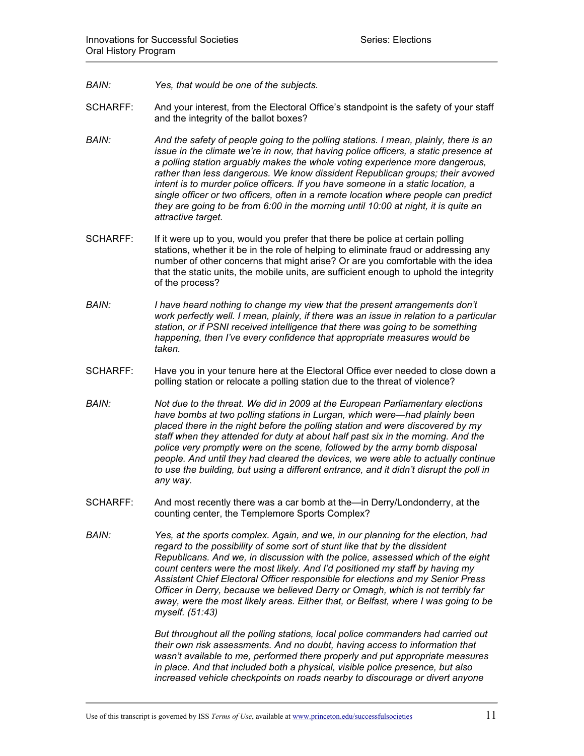- *BAIN: Yes, that would be one of the subjects.*
- SCHARFF: And your interest, from the Electoral Office's standpoint is the safety of your staff and the integrity of the ballot boxes?
- *BAIN: And the safety of people going to the polling stations. I mean, plainly, there is an issue in the climate we're in now, that having police officers, a static presence at a polling station arguably makes the whole voting experience more dangerous, rather than less dangerous. We know dissident Republican groups; their avowed intent is to murder police officers. If you have someone in a static location, a single officer or two officers, often in a remote location where people can predict they are going to be from 6:00 in the morning until 10:00 at night, it is quite an attractive target.*
- SCHARFF: If it were up to you, would you prefer that there be police at certain polling stations, whether it be in the role of helping to eliminate fraud or addressing any number of other concerns that might arise? Or are you comfortable with the idea that the static units, the mobile units, are sufficient enough to uphold the integrity of the process?
- *BAIN: I have heard nothing to change my view that the present arrangements don't work perfectly well. I mean, plainly, if there was an issue in relation to a particular station, or if PSNI received intelligence that there was going to be something happening, then I've every confidence that appropriate measures would be taken.*
- SCHARFF: Have you in your tenure here at the Electoral Office ever needed to close down a polling station or relocate a polling station due to the threat of violence?
- *BAIN: Not due to the threat. We did in 2009 at the European Parliamentary elections have bombs at two polling stations in Lurgan, which were—had plainly been placed there in the night before the polling station and were discovered by my staff when they attended for duty at about half past six in the morning. And the police very promptly were on the scene, followed by the army bomb disposal people. And until they had cleared the devices, we were able to actually continue to use the building, but using a different entrance, and it didn't disrupt the poll in any way.*
- SCHARFF: And most recently there was a car bomb at the—in Derry/Londonderry, at the counting center, the Templemore Sports Complex?
- *BAIN: Yes, at the sports complex. Again, and we, in our planning for the election, had regard to the possibility of some sort of stunt like that by the dissident Republicans. And we, in discussion with the police, assessed which of the eight count centers were the most likely. And I'd positioned my staff by having my Assistant Chief Electoral Officer responsible for elections and my Senior Press Officer in Derry, because we believed Derry or Omagh, which is not terribly far away, were the most likely areas. Either that, or Belfast, where I was going to be myself. (51:43)*

*But throughout all the polling stations, local police commanders had carried out their own risk assessments. And no doubt, having access to information that wasn't available to me, performed there properly and put appropriate measures in place. And that included both a physical, visible police presence, but also increased vehicle checkpoints on roads nearby to discourage or divert anyone*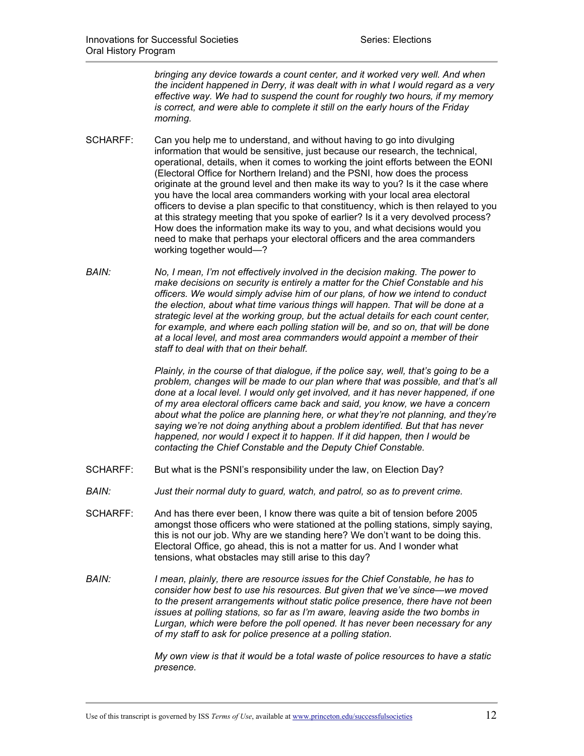*bringing any device towards a count center, and it worked very well. And when the incident happened in Derry, it was dealt with in what I would regard as a very effective way. We had to suspend the count for roughly two hours, if my memory is correct, and were able to complete it still on the early hours of the Friday morning.* 

- SCHARFF: Can you help me to understand, and without having to go into divulging information that would be sensitive, just because our research, the technical, operational, details, when it comes to working the joint efforts between the EONI (Electoral Office for Northern Ireland) and the PSNI, how does the process originate at the ground level and then make its way to you? Is it the case where you have the local area commanders working with your local area electoral officers to devise a plan specific to that constituency, which is then relayed to you at this strategy meeting that you spoke of earlier? Is it a very devolved process? How does the information make its way to you, and what decisions would you need to make that perhaps your electoral officers and the area commanders working together would—?
- *BAIN: No, I mean, I'm not effectively involved in the decision making. The power to make decisions on security is entirely a matter for the Chief Constable and his officers. We would simply advise him of our plans, of how we intend to conduct the election, about what time various things will happen. That will be done at a strategic level at the working group, but the actual details for each count center, for example, and where each polling station will be, and so on, that will be done at a local level, and most area commanders would appoint a member of their staff to deal with that on their behalf.*

*Plainly, in the course of that dialogue, if the police say, well, that's going to be a problem, changes will be made to our plan where that was possible, and that's all done at a local level. I would only get involved, and it has never happened, if one of my area electoral officers came back and said, you know, we have a concern about what the police are planning here, or what they're not planning, and they're saying we're not doing anything about a problem identified. But that has never happened, nor would I expect it to happen. If it did happen, then I would be contacting the Chief Constable and the Deputy Chief Constable.* 

- SCHARFF: But what is the PSNI's responsibility under the law, on Election Day?
- *BAIN: Just their normal duty to guard, watch, and patrol, so as to prevent crime.*
- SCHARFF: And has there ever been, I know there was quite a bit of tension before 2005 amongst those officers who were stationed at the polling stations, simply saying, this is not our job. Why are we standing here? We don't want to be doing this. Electoral Office, go ahead, this is not a matter for us. And I wonder what tensions, what obstacles may still arise to this day?
- *BAIN: I mean, plainly, there are resource issues for the Chief Constable, he has to consider how best to use his resources. But given that we've since—we moved to the present arrangements without static police presence, there have not been issues at polling stations, so far as I'm aware, leaving aside the two bombs in Lurgan, which were before the poll opened. It has never been necessary for any of my staff to ask for police presence at a polling station.*

*My own view is that it would be a total waste of police resources to have a static presence.*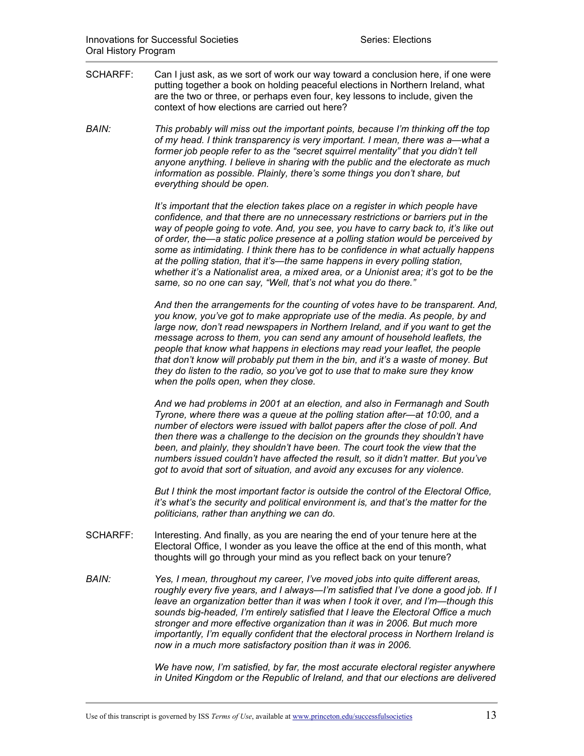- SCHARFF: Can I just ask, as we sort of work our way toward a conclusion here, if one were putting together a book on holding peaceful elections in Northern Ireland, what are the two or three, or perhaps even four, key lessons to include, given the context of how elections are carried out here?
- *BAIN: This probably will miss out the important points, because I'm thinking off the top of my head. I think transparency is very important. I mean, there was a—what a former job people refer to as the "secret squirrel mentality" that you didn't tell anyone anything. I believe in sharing with the public and the electorate as much information as possible. Plainly, there's some things you don't share, but everything should be open.*

*It's important that the election takes place on a register in which people have confidence, and that there are no unnecessary restrictions or barriers put in the way of people going to vote. And, you see, you have to carry back to, it's like out of order, the—a static police presence at a polling station would be perceived by some as intimidating. I think there has to be confidence in what actually happens at the polling station, that it's—the same happens in every polling station, whether it's a Nationalist area, a mixed area, or a Unionist area; it's got to be the same, so no one can say, "Well, that's not what you do there."* 

*And then the arrangements for the counting of votes have to be transparent. And, you know, you've got to make appropriate use of the media. As people, by and large now, don't read newspapers in Northern Ireland, and if you want to get the message across to them, you can send any amount of household leaflets, the people that know what happens in elections may read your leaflet, the people that don't know will probably put them in the bin, and it's a waste of money. But they do listen to the radio, so you've got to use that to make sure they know when the polls open, when they close.* 

*And we had problems in 2001 at an election, and also in Fermanagh and South Tyrone, where there was a queue at the polling station after—at 10:00, and a number of electors were issued with ballot papers after the close of poll. And then there was a challenge to the decision on the grounds they shouldn't have*  been, and plainly, they shouldn't have been. The court took the view that the *numbers issued couldn't have affected the result, so it didn't matter. But you've got to avoid that sort of situation, and avoid any excuses for any violence.* 

*But I think the most important factor is outside the control of the Electoral Office, it's what's the security and political environment is, and that's the matter for the politicians, rather than anything we can do.*

- SCHARFF: Interesting. And finally, as you are nearing the end of your tenure here at the Electoral Office, I wonder as you leave the office at the end of this month, what thoughts will go through your mind as you reflect back on your tenure?
- *BAIN: Yes, I mean, throughout my career, I've moved jobs into quite different areas, roughly every five years, and I always—I'm satisfied that I've done a good job. If I leave an organization better than it was when I took it over, and I'm—though this sounds big-headed, I'm entirely satisfied that I leave the Electoral Office a much stronger and more effective organization than it was in 2006. But much more importantly, I'm equally confident that the electoral process in Northern Ireland is now in a much more satisfactory position than it was in 2006.*

*We have now, I'm satisfied, by far, the most accurate electoral register anywhere in United Kingdom or the Republic of Ireland, and that our elections are delivered*